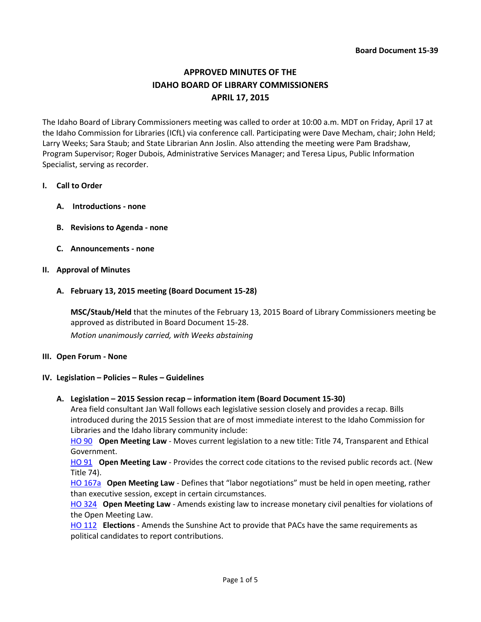# **APPROVED MINUTES OF THE IDAHO BOARD OF LIBRARY COMMISSIONERS APRIL 17, 2015**

The Idaho Board of Library Commissioners meeting was called to order at 10:00 a.m. MDT on Friday, April 17 at the Idaho Commission for Libraries (ICfL) via conference call. Participating were Dave Mecham, chair; John Held; Larry Weeks; Sara Staub; and State Librarian Ann Joslin. Also attending the meeting were Pam Bradshaw, Program Supervisor; Roger Dubois, Administrative Services Manager; and Teresa Lipus, Public Information Specialist, serving as recorder.

## **I. Call to Order**

- **A. Introductions - none**
- **B. Revisions to Agenda - none**
- **C. Announcements - none**

## **II. Approval of Minutes**

**A. February 13, 2015 meeting (Board Document 15-28)**

**MSC/Staub/Held** that the minutes of the February 13, 2015 Board of Library Commissioners meeting be approved as distributed in Board Document 15-28.

*Motion unanimously carried, with Weeks abstaining*

## **III. Open Forum - None**

## **IV. Legislation – Policies – Rules – Guidelines**

**A. Legislation – 2015 Session recap – information item (Board Document 15-30)**

Area field consultant Jan Wall follows each legislative session closely and provides a recap. Bills introduced during the 2015 Session that are of most immediate interest to the Idaho Commission for Libraries and the Idaho library community include:

[HO 90](http://legislature.idaho.gov/legislation/2015/H0090.htm) **Open Meeting Law** - Moves current legislation to a new title: Title 74, Transparent and Ethical Government.

[HO 91](http://legislature.idaho.gov/legislation/2015/H0091.htm) **Open Meeting Law** - Provides the correct code citations to the revised public records act. (New Title 74).

[HO 167a](http://www.legislature.idaho.gov/legislation/2015/H0167.htm) **Open Meeting Law** - Defines that "labor negotiations" must be held in open meeting, rather than executive session, except in certain circumstances.

[HO 324](http://www.legislature.idaho.gov/legislation/2015/H0324.htm) **Open Meeting Law** - Amends existing law to increase monetary civil penalties for violations of the Open Meeting Law.

[HO 112](http://legislature.idaho.gov/legislation/2015/H0112.htm) **Elections** - Amends the Sunshine Act to provide that PACs have the same requirements as political candidates to report contributions.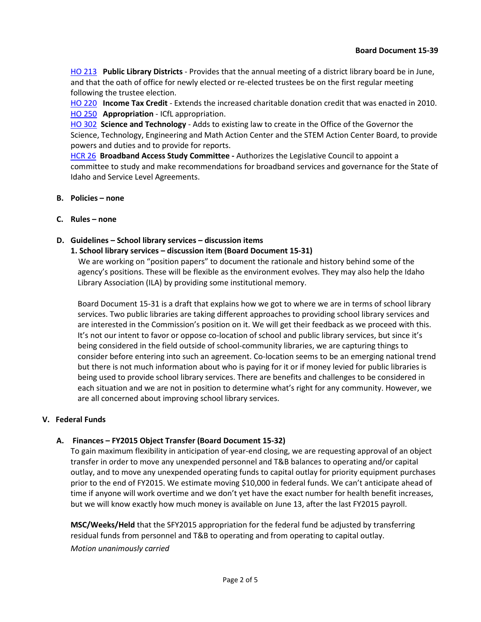[HO 213](http://legislature.idaho.gov/legislation/2015/H0213.htm) **Public Library Districts** - Provides that the annual meeting of a district library board be in June, and that the oath of office for newly elected or re-elected trustees be on the first regular meeting following the trustee election.

[HO 220](http://legislature.idaho.gov/legislation/2015/H0220.htm) **Income Tax Credit** - Extends the increased charitable donation credit that was enacted in 2010. [HO 250](http://legislature.idaho.gov/legislation/2015/H0250.htm) **Appropriation** - ICfL appropriation.

[HO 302](http://legislature.idaho.gov/legislation/2015/H0302.htm) **Science and Technology** - Adds to existing law to create in the Office of the Governor the Science, Technology, Engineering and Math Action Center and the STEM Action Center Board, to provide powers and duties and to provide for reports.

[HCR 26](http://legislature.idaho.gov/legislation/2015/HCR026.htm) **Broadband Access Study Committee -** Authorizes the Legislative Council to appoint a committee to study and make recommendations for broadband services and governance for the State of Idaho and Service Level Agreements.

- **B. Policies – none**
- **C. Rules – none**

## **D. Guidelines – School library services – discussion items**

### **1. School library services – discussion item (Board Document 15-31)**

 We are working on "position papers" to document the rationale and history behind some of the agency's positions. These will be flexible as the environment evolves. They may also help the Idaho Library Association (ILA) by providing some institutional memory.

Board Document 15-31 is a draft that explains how we got to where we are in terms of school library services. Two public libraries are taking different approaches to providing school library services and are interested in the Commission's position on it. We will get their feedback as we proceed with this. It's not our intent to favor or oppose co-location of school and public library services, but since it's being considered in the field outside of school-community libraries, we are capturing things to consider before entering into such an agreement. Co-location seems to be an emerging national trend but there is not much information about who is paying for it or if money levied for public libraries is being used to provide school library services. There are benefits and challenges to be considered in each situation and we are not in position to determine what's right for any community. However, we are all concerned about improving school library services.

## **V. Federal Funds**

## **A. Finances – FY2015 Object Transfer (Board Document 15-32)**

To gain maximum flexibility in anticipation of year-end closing, we are requesting approval of an object transfer in order to move any unexpended personnel and T&B balances to operating and/or capital outlay, and to move any unexpended operating funds to capital outlay for priority equipment purchases prior to the end of FY2015. We estimate moving \$10,000 in federal funds. We can't anticipate ahead of time if anyone will work overtime and we don't yet have the exact number for health benefit increases, but we will know exactly how much money is available on June 13, after the last FY2015 payroll.

**MSC/Weeks/Held** that the SFY2015 appropriation for the federal fund be adjusted by transferring residual funds from personnel and T&B to operating and from operating to capital outlay. *Motion unanimously carried*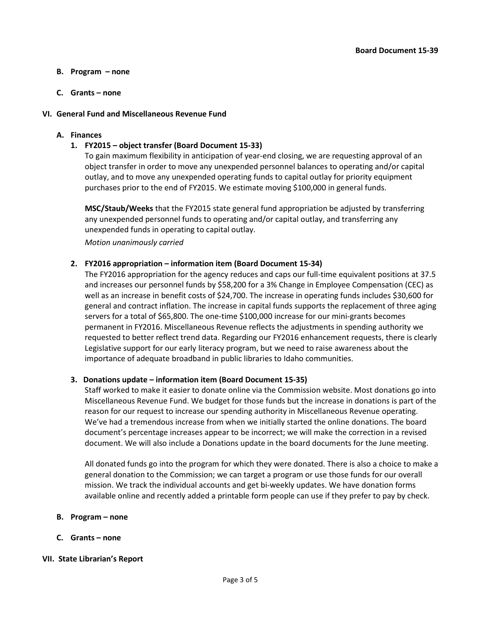## **B. Program – none**

## **C. Grants – none**

## **VI. General Fund and Miscellaneous Revenue Fund**

## **A. Finances**

## **1. FY2015 – object transfer (Board Document 15-33)**

To gain maximum flexibility in anticipation of year-end closing, we are requesting approval of an object transfer in order to move any unexpended personnel balances to operating and/or capital outlay, and to move any unexpended operating funds to capital outlay for priority equipment purchases prior to the end of FY2015. We estimate moving \$100,000 in general funds.

**MSC/Staub/Weeks** that the FY2015 state general fund appropriation be adjusted by transferring any unexpended personnel funds to operating and/or capital outlay, and transferring any unexpended funds in operating to capital outlay.

*Motion unanimously carried*

## **2. FY2016 appropriation – information item (Board Document 15-34)**

The FY2016 appropriation for the agency reduces and caps our full-time equivalent positions at 37.5 and increases our personnel funds by \$58,200 for a 3% Change in Employee Compensation (CEC) as well as an increase in benefit costs of \$24,700. The increase in operating funds includes \$30,600 for general and contract inflation. The increase in capital funds supports the replacement of three aging servers for a total of \$65,800. The one-time \$100,000 increase for our mini-grants becomes permanent in FY2016. Miscellaneous Revenue reflects the adjustments in spending authority we requested to better reflect trend data. Regarding our FY2016 enhancement requests, there is clearly Legislative support for our early literacy program, but we need to raise awareness about the importance of adequate broadband in public libraries to Idaho communities.

## **3. Donations update – information item (Board Document 15-35)**

Staff worked to make it easier to donate online via the Commission website. Most donations go into Miscellaneous Revenue Fund. We budget for those funds but the increase in donations is part of the reason for our request to increase our spending authority in Miscellaneous Revenue operating. We've had a tremendous increase from when we initially started the online donations. The board document's percentage increases appear to be incorrect; we will make the correction in a revised document. We will also include a Donations update in the board documents for the June meeting.

All donated funds go into the program for which they were donated. There is also a choice to make a general donation to the Commission; we can target a program or use those funds for our overall mission. We track the individual accounts and get bi-weekly updates. We have donation forms available online and recently added a printable form people can use if they prefer to pay by check.

## **B. Program – none**

**C. Grants – none**

## **VII. State Librarian's Report**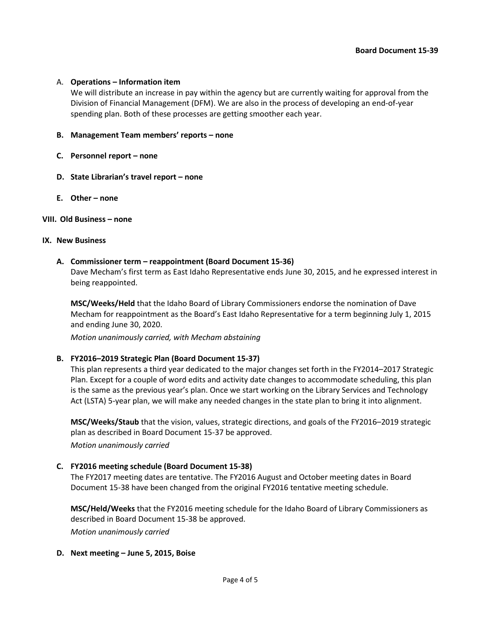### A. **Operations – Information item**

We will distribute an increase in pay within the agency but are currently waiting for approval from the Division of Financial Management (DFM). We are also in the process of developing an end-of-year spending plan. Both of these processes are getting smoother each year.

### **B. Management Team members' reports – none**

- **C. Personnel report – none**
- **D. State Librarian's travel report – none**
- **E. Other – none**

#### **VIII. Old Business – none**

#### **IX. New Business**

### **A. Commissioner term – reappointment (Board Document 15-36)**

Dave Mecham's first term as East Idaho Representative ends June 30, 2015, and he expressed interest in being reappointed.

**MSC/Weeks/Held** that the Idaho Board of Library Commissioners endorse the nomination of Dave Mecham for reappointment as the Board's East Idaho Representative for a term beginning July 1, 2015 and ending June 30, 2020.

*Motion unanimously carried, with Mecham abstaining*

## **B. FY2016–2019 Strategic Plan (Board Document 15-37)**

This plan represents a third year dedicated to the major changes set forth in the FY2014–2017 Strategic Plan. Except for a couple of word edits and activity date changes to accommodate scheduling, this plan is the same as the previous year's plan. Once we start working on the Library Services and Technology Act (LSTA) 5-year plan, we will make any needed changes in the state plan to bring it into alignment.

**MSC/Weeks/Staub** that the vision, values, strategic directions, and goals of the FY2016–2019 strategic plan as described in Board Document 15-37 be approved.

*Motion unanimously carried*

## **C. FY2016 meeting schedule (Board Document 15-38)**

The FY2017 meeting dates are tentative. The FY2016 August and October meeting dates in Board Document 15-38 have been changed from the original FY2016 tentative meeting schedule.

**MSC/Held/Weeks** that the FY2016 meeting schedule for the Idaho Board of Library Commissioners as described in Board Document 15-38 be approved.

*Motion unanimously carried*

#### **D. Next meeting – June 5, 2015, Boise**